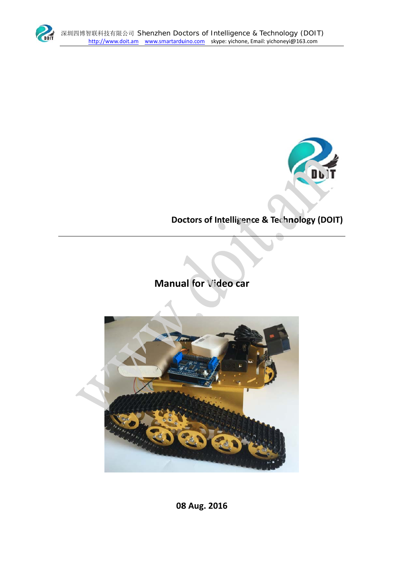



Doctors of Intelligence & Technology (DOIT)

Manual for Video car



08 Aug. 2016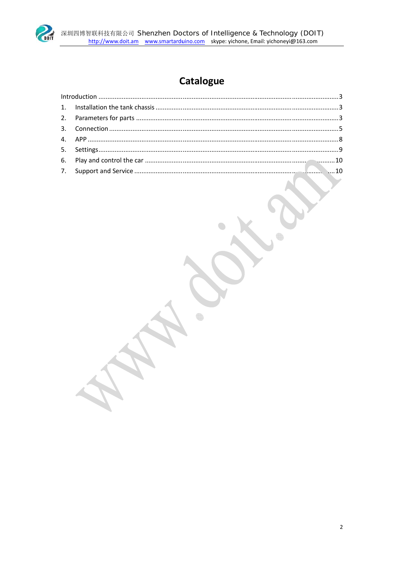

# Catalogue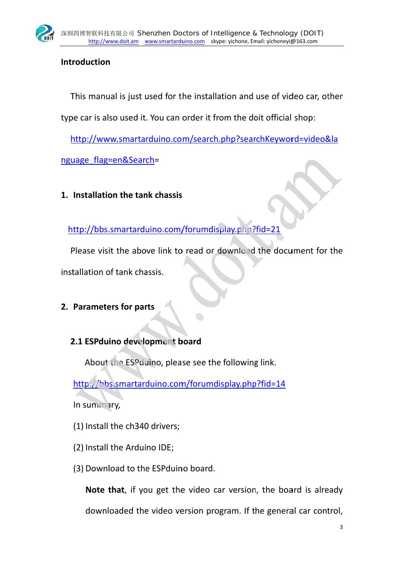

## Introduction

This manual is just used for the installation and use of video car, other

type car is also used it. You can order it from the doit official shop:

http://www.smartarduino.com/search.php?searchKeyword=video&la

nguage flag=en&Search=

1. Installation the tank chassis

http://bbs.smartarduino.com/forumdisplay.php?fid=21

Please visit the above link to read or download the document for the

installation of tank chassis.

## 2. Parameters for parts

## 2.1 ESPduino development board

About the ESP duino, please see the following link.

http://bbs.smartarduino.com/forumdisplay.php?fid=14

In summary,

- (1) Install the ch340 drivers;
- (2) Install the Arduino IDE;
- (3) Download to the ESP duino board.

Note that, if you get the video car version, the board is already downloaded the video version program. If the general car control,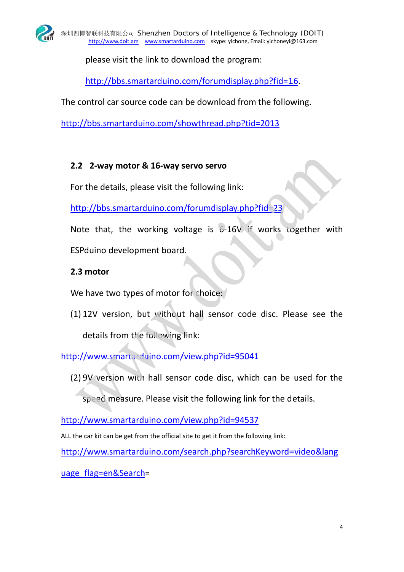

please visit the link to download the program:

http://bbs.smartarduino.com/forumdisplay.php?fid=16.

The control car source code can be download from the following.

http://bbs.smartarduino.com/showthread.php?tid=2013

# 2.2 2-way motor & 16-way servo servo

For the details, please visit the following link:

http://bbs.smartarduino.com/forumdisplay.php?fid=23

Note that, the working voltage is  $6-16V$  if works together with ESPduino development board.

# 2.3 motor

We have two types of motor for choice:

(1) 12V version, but without hall sensor code disc. Please see the details from the following link:

http://www.smartarduino.com/view.php?id=95041

(2) 9V version with hall sensor code disc, which can be used for the

speed measure. Please visit the following link for the details.

http://www.smartarduino.com/view.php?id=94537

ALL the car kit can be get from the official site to get it from the following link:

http://www.smartarduino.com/search.php?searchKeyword=video&lang

uage flag=en&Search=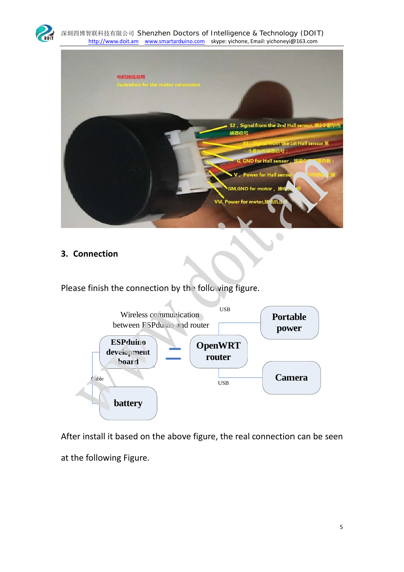

#### 深圳四博智联科技有限公司 Shenzhen Doctors of Intelligence & Technology (DOIT) http://www.doit.am www.smartarduino.com skype: yichone, Email: yichoneyi@163.com



### 3. Connection

Please finish the connection by the following figure.



After install it based on the above figure, the real connection can be seen at the following Figure.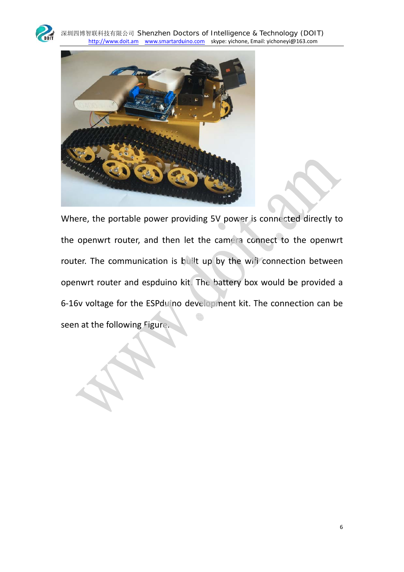



Where, the portable power providing 5V power is connected directly to the openwrt router, and then let the camera connect to the openwrt router. The communication is built up by the wifi connection between openwrt router and espduino kit. The battery box would be provided a 6-16v voltage for the ESPduino development kit. The connection can be seen at the following Figure.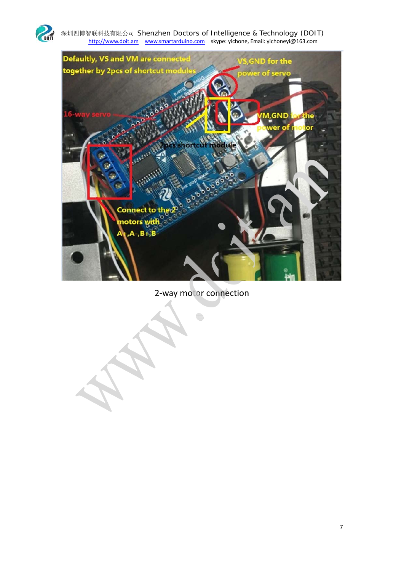

深圳四博智联科技有限公司 Shenzhen Doctors of Intelligence & Technology (DOIT)<br>http://www.doit.am www.smartarduino.com skype: yichone, Email: yichoneyi@163.com



2-way motor connection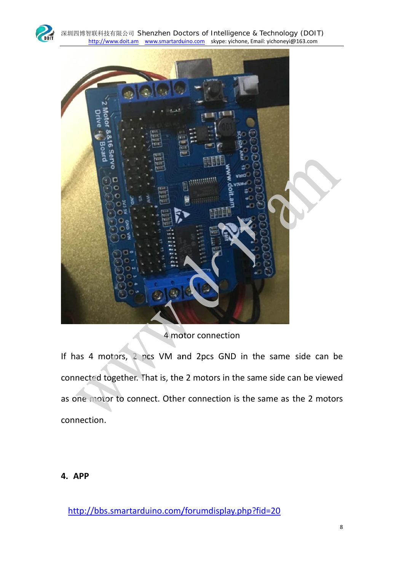



# 4 motor connection

If has 4 motors, 2 pcs VM and 2pcs GND in the same side can be connected together. That is, the 2 motors in the same side can be viewed as one motor to connect. Other connection is the same as the 2 motors connection.

### 4. APP

http://bbs.smartarduino.com/forumdisplay.php?fid=20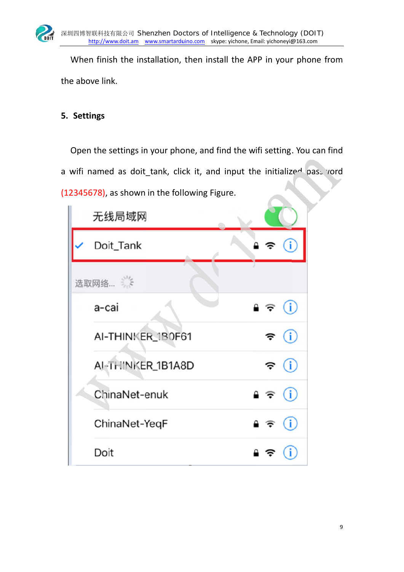

When finish the installation, then install the APP in your phone from the above link.

### 5. Settings

Open the settings in your phone, and find the wifi setting. You can find a wifi named as doit\_tank, click it, and input the initialize<sup>d</sup> pass yord (12345678), as shown in the following Figure.

|        | 无线局域网             |                                     |  |  |
|--------|-------------------|-------------------------------------|--|--|
|        | Doit_Tank         | $\hat{\bullet}$ $\hat{\bullet}$ (i) |  |  |
| 选取网络 三 |                   |                                     |  |  |
|        | a-cai             | $\mathbf{a} \in (i)$                |  |  |
|        | AI-THINKER_1B0F61 | $\widehat{\mathbf{z}}$ (i)          |  |  |
|        | AI-THINKER_1B1A8D | $\widehat{\mathbf{z}}$ (i)          |  |  |
|        | ChinaNet-enuk     | $\bullet \in (i)$                   |  |  |
|        | ChinaNet-YeqF     | $\bullet \in (i)$                   |  |  |
|        | Doit              | $\binom{1}{1}$<br>≙ ∌               |  |  |